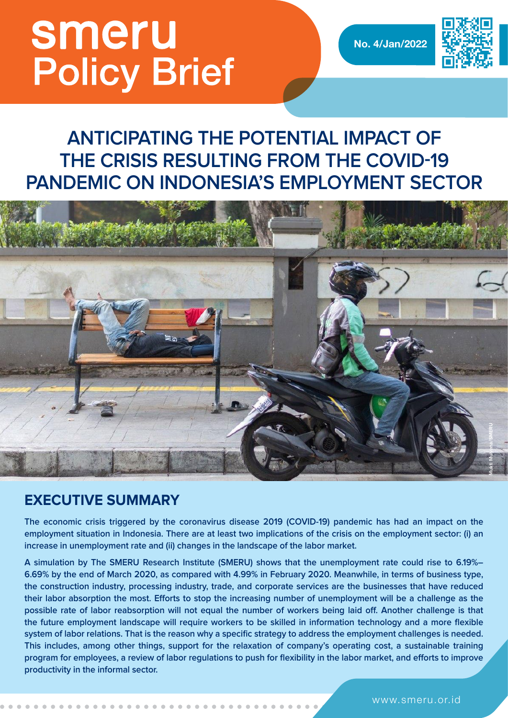# smeru **Policy Brief**

**No. 4/Jan/2022**



## **ANTICIPATING THE POTENTIAL IMPACT OF THE CRISIS RESULTING FROM THE COVID-19 PANDEMIC ON INDONESIA'S EMPLOYMENT SECTOR**



### **EXECUTIVE SUMMARY**

**The economic crisis triggered by the coronavirus disease 2019 (COVID-19) pandemic has had an impact on the employment situation in Indonesia. There are at least two implications of the crisis on the employment sector: (i) an increase in unemployment rate and (ii) changes in the landscape of the labor market.**

**A simulation by The SMERU Research Institute (SMERU) shows that the unemployment rate could rise to 6.19%– 6.69% by the end of March 2020, as compared with 4.99% in February 2020. Meanwhile, in terms of business type, the construction industry, processing industry, trade, and corporate services are the businesses that have reduced their labor absorption the most. Efforts to stop the increasing number of unemployment will be a challenge as the possible rate of labor reabsorption will not equal the number of workers being laid off. Another challenge is that the future employment landscape will require workers to be skilled in information technology and a more flexible system of labor relations. That is the reason why a specific strategy to address the employment challenges is needed. This includes, among other things, support for the relaxation of company's operating cost, a sustainable training program for employees, a review of labor regulations to push for flexibility in the labor market, and efforts to improve productivity in the informal sector.**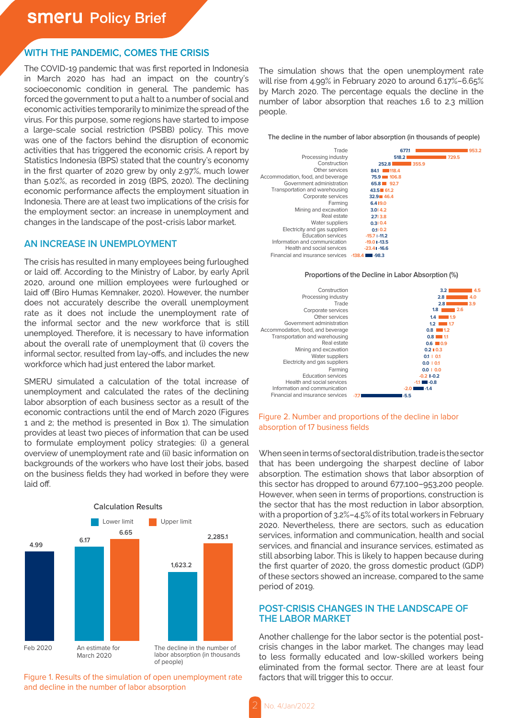#### **WITH THE PANDEMIC, COMES THE CRISIS**

The COVID-19 pandemic that was first reported in Indonesia in March 2020 has had an impact on the country's socioeconomic condition in general. The pandemic has forced the government to put a halt to a number of social and economic activities temporarily to minimize the spread of the virus. For this purpose, some regions have started to impose a large-scale social restriction (PSBB) policy. This move was one of the factors behind the disruption of economic activities that has triggered the economic crisis. A report by Statistics Indonesia (BPS) stated that the country's economy in the first quarter of 2020 grew by only 2.97%, much lower than 5.02%, as recorded in 2019 (BPS, 2020). The declining economic performance affects the employment situation in Indonesia. There are at least two implications of the crisis for the employment sector: an increase in unemployment and changes in the landscape of the post-crisis labor market.

#### **AN INCREASE IN UNEMPLOYMENT**

The crisis has resulted in many employees being furloughed or laid off. According to the Ministry of Labor, by early April 2020, around one million employees were furloughed or laid off (Biro Humas Kemnaker, 2020). However, the number does not accurately describe the overall unemployment rate as it does not include the unemployment rate of the informal sector and the new workforce that is still unemployed. Therefore, it is necessary to have information about the overall rate of unemployment that (i) covers the informal sector, resulted from lay-offs, and includes the new workforce which had just entered the labor market.

SMERU simulated a calculation of the total increase of unemployment and calculated the rates of the declining labor absorption of each business sector as a result of the economic contractions until the end of March 2020 (Figures 1 and 2; the method is presented in Box 1). The simulation provides at least two pieces of information that can be used to formulate employment policy strategies: (i) a general overview of unemployment rate and (ii) basic information on backgrounds of the workers who have lost their jobs, based on the business fields they had worked in before they were laid off.



Figure 1. Results of the simulation of open unemployment rate and decline in the number of labor absorption

The simulation shows that the open unemployment rate will rise from 4.99% in February 2020 to around 6.17%–6.65% by March 2020. The percentage equals the decline in the number of labor absorption that reaches 1.6 to 2.3 million people.

**The decline in the number of labor absorption (in thousands of people)**







#### Figure 2. Number and proportions of the decline in labor absorption of 17 business fields

When seen in terms of sectoral distribution, trade is the sector that has been undergoing the sharpest decline of labor absorption. The estimation shows that labor absorption of this sector has dropped to around 677,100–953,200 people. However, when seen in terms of proportions, construction is the sector that has the most reduction in labor absorption, with a proportion of 3.2%–4.5% of its total workers in February 2020. Nevertheless, there are sectors, such as education services, information and communication, health and social services, and financial and insurance services, estimated as still absorbing labor. This is likely to happen because during the first quarter of 2020, the gross domestic product (GDP) of these sectors showed an increase, compared to the same period of 2019.

#### **POST-CRISIS CHANGES IN THE LANDSCAPE OF THE LABOR MARKET**

Another challenge for the labor sector is the potential postcrisis changes in the labor market. The changes may lead to less formally educated and low-skilled workers being eliminated from the formal sector. There are at least four factors that will trigger this to occur.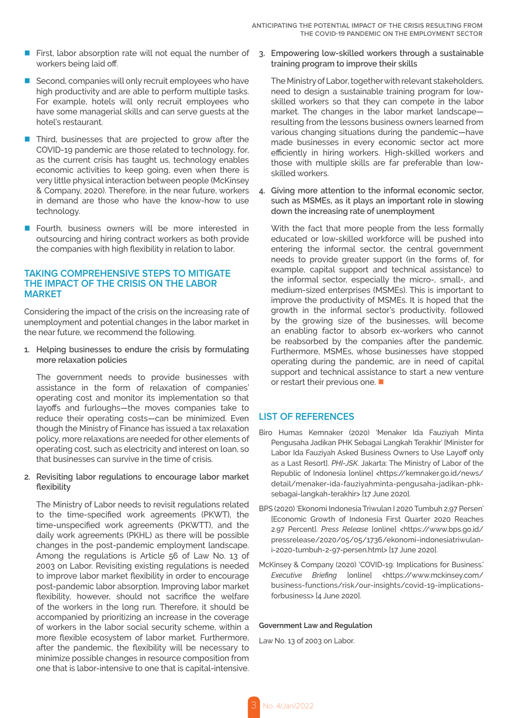- First, labor absorption rate will not equal the number of 3. Empowering low-skilled workers through a sustainable workers being laid off.
- $\blacksquare$  Second, companies will only recruit employees who have high productivity and are able to perform multiple tasks. For example, hotels will only recruit employees who have some managerial skills and can serve guests at the hotel's restaurant.
- $\blacksquare$  Third, businesses that are projected to grow after the COVID-19 pandemic are those related to technology, for, as the current crisis has taught us, technology enables economic activities to keep going, even when there is very little physical interaction between people (McKinsey & Company, 2020). Therefore, in the near future, workers in demand are those who have the know-how to use technology.
- Fourth, business owners will be more interested in outsourcing and hiring contract workers as both provide the companies with high flexibility in relation to labor.

#### **TAKING COMPREHENSIVE STEPS TO MITIGATE THE IMPACT OF THE CRISIS ON THE LABOR MARKET**

Considering the impact of the crisis on the increasing rate of unemployment and potential changes in the labor market in the near future, we recommend the following.

**1. Helping businesses to endure the crisis by formulating more relaxation policies**

The government needs to provide businesses with assistance in the form of relaxation of companies' operating cost and monitor its implementation so that layoffs and furloughs—the moves companies take to reduce their operating costs—can be minimized. Even though the Ministry of Finance has issued a tax relaxation policy, more relaxations are needed for other elements of operating cost, such as electricity and interest on loan, so that businesses can survive in the time of crisis.

#### **2. Revisiting labor regulations to encourage labor market flexibility**

The Ministry of Labor needs to revisit regulations related to the time-specified work agreements (PKWT), the time-unspecified work agreements (PKWTT), and the daily work agreements (PKHL) as there will be possible changes in the post-pandemic employment landscape. Among the regulations is Article 56 of Law No. 13 of 2003 on Labor. Revisiting existing regulations is needed to improve labor market flexibility in order to encourage post-pandemic labor absorption. Improving labor market flexibility, however, should not sacrifice the welfare of the workers in the long run. Therefore, it should be accompanied by prioritizing an increase in the coverage of workers in the labor social security scheme, within a more flexible ecosystem of labor market. Furthermore, after the pandemic, the flexibility will be necessary to minimize possible changes in resource composition from one that is labor-intensive to one that is capital-intensive.

**training program to improve their skills**

meed to design a sustainable training program for low-The Ministry of Labor, together with relevant stakeholders, skilled workers so that they can compete in the labor market. The changes in the labor market landscape resulting from the lessons business owners learned from various changing situations during the pandemic—have made businesses in every economic sector act more efficiently in hiring workers. High-skilled workers and those with multiple skills are far preferable than lowskilled workers.

**4. Giving more attention to the informal economic sector, such as MSMEs, as it plays an important role in slowing down the increasing rate of unemployment**

With the fact that more people from the less formally educated or low-skilled workforce will be pushed into entering the informal sector, the central government needs to provide greater support (in the forms of, for example, capital support and technical assistance) to the informal sector, especially the micro-, small-, and medium-sized enterprises (MSMEs). This is important to improve the productivity of MSMEs. It is hoped that the growth in the informal sector's productivity, followed by the growing size of the businesses, will become an enabling factor to absorb ex-workers who cannot be reabsorbed by the companies after the pandemic. Furthermore, MSMEs, whose businesses have stopped operating during the pandemic, are in need of capital support and technical assistance to start a new venture or restart their previous one.  $\blacksquare$ 

#### **LIST OF REFERENCES**

- Biro Humas Kemnaker (2020) 'Menaker Ida Fauziyah Minta Pengusaha Jadikan PHK Sebagai Langkah Terakhir' [Minister for Labor Ida Fauziyah Asked Business Owners to Use Layoff only as a Last Resort]. *PHI-JSK*. Jakarta: The Ministry of Labor of the Republic of Indonesia [online] <https://kemnaker.go.id/news/ detail/menaker-ida-fauziyahminta-pengusaha-jadikan-phksebagai-langkah-terakhir> [17 June 2020].
- BPS (2020) 'Ekonomi Indonesia Triwulan I 2020 Tumbuh 2,97 Persen' [Economic Growth of Indonesia First Quarter 2020 Reaches 2.97 Percent]. *Press Release* [online] <https://www.bps.go.id/ pressrelease/2020/05/05/1736/ekonomi-indonesiatriwulani-2020-tumbuh-2-97-persen.html> [17 June 2020].
- McKinsey & Company (2020) 'COVID-19: Implications for Business.' *Executive Briefing* [online] <https://www.mckinsey.com/ business-functions/risk/our-insights/covid-19-implicationsforbusiness> [4 June 2020].

#### **Government Law and Regulation**

Law No. 13 of 2003 on Labor.